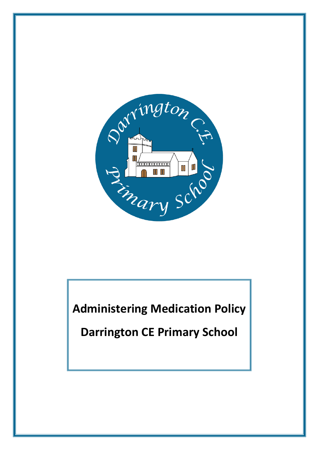

**Administering Medication Policy**

**Darrington CE Primary School**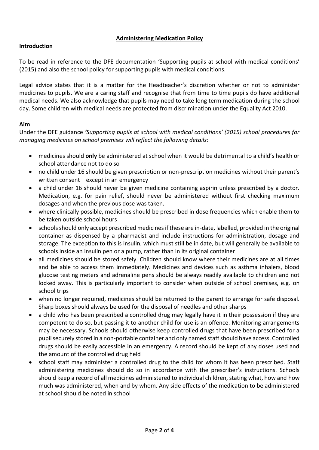# **Administering Medication Policy**

#### **Introduction**

To be read in reference to the DFE documentation 'Supporting pupils at school with medical conditions' (2015) and also the school policy for supporting pupils with medical conditions.

Legal advice states that it is a matter for the Headteacher's discretion whether or not to administer medicines to pupils. We are a caring staff and recognise that from time to time pupils do have additional medical needs. We also acknowledge that pupils may need to take long term medication during the school day. Some children with medical needs are protected from discrimination under the Equality Act 2010.

#### **Aim**

Under the DFE guidance *'Supporting pupils at school with medical conditions' (2015) school procedures for managing medicines on school premises will reflect the following details:* 

- medicines should **only** be administered at school when it would be detrimental to a child's health or school attendance not to do so
- no child under 16 should be given prescription or non-prescription medicines without their parent's written consent – except in an emergency
- a child under 16 should never be given medicine containing aspirin unless prescribed by a doctor. Medication, e.g. for pain relief, should never be administered without first checking maximum dosages and when the previous dose was taken.
- where clinically possible, medicines should be prescribed in dose frequencies which enable them to be taken outside school hours
- schools should only accept prescribed medicines if these are in-date, labelled, provided in the original container as dispensed by a pharmacist and include instructions for administration, dosage and storage. The exception to this is insulin, which must still be in date, but will generally be available to schools inside an insulin pen or a pump, rather than in its original container
- all medicines should be stored safely. Children should know where their medicines are at all times and be able to access them immediately. Medicines and devices such as asthma inhalers, blood glucose testing meters and adrenaline pens should be always readily available to children and not locked away. This is particularly important to consider when outside of school premises, e.g. on school trips
- when no longer required, medicines should be returned to the parent to arrange for safe disposal. Sharp boxes should always be used for the disposal of needles and other sharps
- a child who has been prescribed a controlled drug may legally have it in their possession if they are competent to do so, but passing it to another child for use is an offence. Monitoring arrangements may be necessary. Schools should otherwise keep controlled drugs that have been prescribed for a pupil securely stored in a non-portable container and only named staff should have access. Controlled drugs should be easily accessible in an emergency. A record should be kept of any doses used and the amount of the controlled drug held
- school staff may administer a controlled drug to the child for whom it has been prescribed. Staff administering medicines should do so in accordance with the prescriber's instructions. Schools should keep a record of all medicines administered to individual children, stating what, how and how much was administered, when and by whom. Any side effects of the medication to be administered at school should be noted in school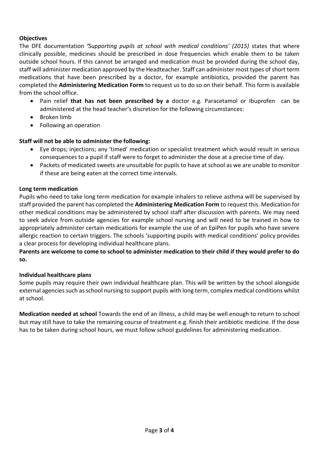## **Objectives**

The DFE documentation *'Supporting pupils at school with medical conditions' (2015)* states that where clinically possible, medicines should be prescribed in dose frequencies which enable them to be taken outside school hours. If this cannot be arranged and medication must be provided during the school day, staff will administer medication approved by the Headteacher. Staff can administer most types of short term medications that have been prescribed by a doctor, for example antibiotics, provided the parent has completed the **Administering Medication Form** to request us to do so on their behalf. This form is available from the school office.

- Pain relief **that has not been prescribed by a** doctor e.g. Paracetamol or Ibuprofen can be administered at the head teacher's discretion for the following circumstances:
- Broken limb
- Following an operation

# **Staff will not be able to administer the following:**

- Eye drops; injections; any 'timed' medication or specialist treatment which would result in serious consequences to a pupil if staff were to forget to administer the dose at a precise time of day.
- Packets of medicated sweets are unsuitable for pupils to have at school as we are unable to monitor if these are being eaten at the correct time intervals.

## **Long term medication**

Pupils who need to take long term medication for example inhalers to relieve asthma will be supervised by staff provided the parent has completed the **Administering Medication Form** to request this. Medication for other medical conditions may be administered by school staff after discussion with parents. We may need to seek advice from outside agencies for example school nursing and will need to be trained in how to appropriately administer certain medications for example the use of an EpiPen for pupils who have severe allergic reaction to certain triggers. The schools 'supporting pupils with medical conditions' policy provides a clear process for developing individual healthcare plans.

# **Parents are welcome to come to school to administer medication to their child if they would prefer to do so.**

## **Individual healthcare plans**

Some pupils may require their own individual healthcare plan. This will be written by the school alongside external agencies such as school nursing to support pupils with long term, complex medical conditions whilst at school.

**Medication needed at school** Towards the end of an illness, a child may be well enough to return to school but may still have to take the remaining course of treatment e.g. finish their antibiotic medicine. If the dose has to be taken during school hours, we must follow school guidelines for administering medication.